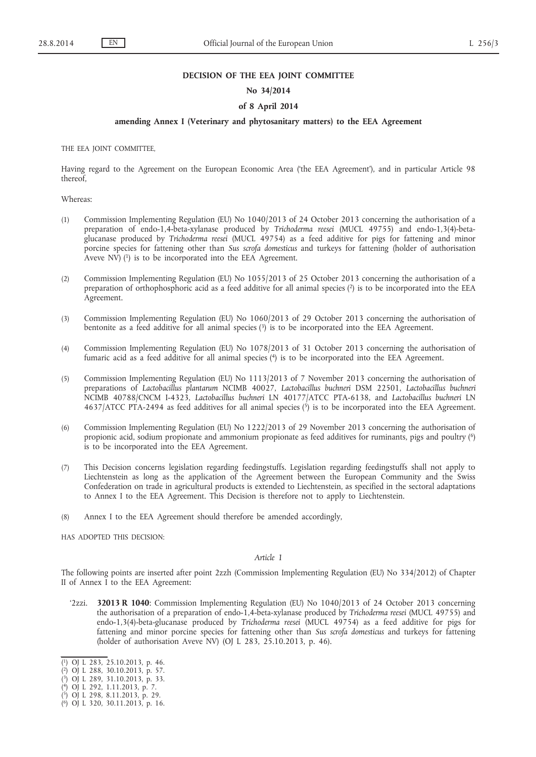### **DECISION OF THE EEA JOINT COMMITTEE**

# **No 34/2014**

# **of 8 April 2014**

## **amending Annex I (Veterinary and phytosanitary matters) to the EEA Agreement**

THE EEA JOINT COMMITTEE,

Having regard to the Agreement on the European Economic Area ('the EEA Agreement'), and in particular Article 98 thereof,

Whereas:

- (1) Commission Implementing Regulation (EU) No 1040/2013 of 24 October 2013 concerning the authorisation of a preparation of endo-1,4-beta-xylanase produced by *Trichoderma reesei* (MUCL 49755) and endo-1,3(4)-betaglucanase produced by *Trichoderma reesei* (MUCL 49754) as a feed additive for pigs for fattening and minor porcine species for fattening other than *Sus scrofa domesticus* and turkeys for fattening (holder of authorisation Aveve NV)  $(1)$  is to be incorporated into the EEA Agreement.
- (2) Commission Implementing Regulation (EU) No 1055/2013 of 25 October 2013 concerning the authorisation of a preparation of orthophosphoric acid as a feed additive for all animal species (2) is to be incorporated into the EEA Agreement.
- (3) Commission Implementing Regulation (EU) No 1060/2013 of 29 October 2013 concerning the authorisation of bentonite as a feed additive for all animal species  $(3)$  is to be incorporated into the EEA Agreement.
- (4) Commission Implementing Regulation (EU) No 1078/2013 of 31 October 2013 concerning the authorisation of fumaric acid as a feed additive for all animal species (4) is to be incorporated into the EEA Agreement.
- (5) Commission Implementing Regulation (EU) No 1113/2013 of 7 November 2013 concerning the authorisation of preparations of *Lactobacillus plantarum* NCIMB 40027, *Lactobacillus buchneri* DSM 22501, *Lactobacillus buchneri* NCIMB 40788/CNCM I-4323, *Lactobacillus buchneri* LN 40177/ATCC PTA-6138, and *Lactobacillus buchneri* LN 4637/ATCC PTA-2494 as feed additives for all animal species  $\binom{5}{2}$  is to be incorporated into the EEA Agreement.
- (6) Commission Implementing Regulation (EU) No 1222/2013 of 29 November 2013 concerning the authorisation of propionic acid, sodium propionate and ammonium propionate as feed additives for ruminants, pigs and poultry (6) is to be incorporated into the EEA Agreement.
- (7) This Decision concerns legislation regarding feedingstuffs. Legislation regarding feedingstuffs shall not apply to Liechtenstein as long as the application of the Agreement between the European Community and the Swiss Confederation on trade in agricultural products is extended to Liechtenstein, as specified in the sectoral adaptations to Annex I to the EEA Agreement. This Decision is therefore not to apply to Liechtenstein.
- (8) Annex I to the EEA Agreement should therefore be amended accordingly,

HAS ADOPTED THIS DECISION:

### *Article 1*

The following points are inserted after point 2zzh (Commission Implementing Regulation (EU) No 334/2012) of Chapter II of Annex I to the EEA Agreement:

'2zzi. **32013 R 1040**: Commission Implementing Regulation (EU) No 1040/2013 of 24 October 2013 concerning the authorisation of a preparation of endo-1,4-beta-xylanase produced by *Trichoderma reesei* (MUCL 49755) and endo-1,3(4)-beta-glucanase produced by *Trichoderma reesei* (MUCL 49754) as a feed additive for pigs for fattening and minor porcine species for fattening other than *Sus scrofa domesticus* and turkeys for fattening (holder of authorisation Aveve NV) (OJ L 283, 25.10.2013, p. 46).

<sup>(</sup> 1) OJ L 283, 25.10.2013, p. 46.

<sup>(</sup> 2) OJ L 288, 30.10.2013, p. 57.

<sup>(</sup> 3) OJ L 289, 31.10.2013, p. 33.

<sup>(</sup> 4) OJ L 292, 1.11.2013, p. 7.

<sup>(</sup> 5) OJ L 298, 8.11.2013, p. 29.

<sup>(</sup> 6) OJ L 320, 30.11.2013, p. 16.